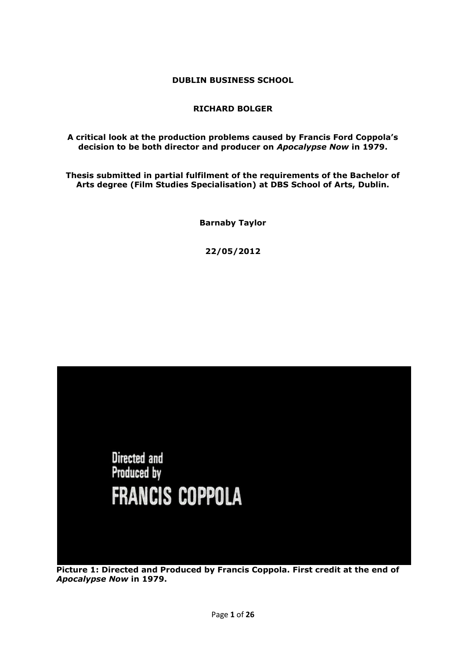**DUBLIN BUSINESS SCHOOL**

## **RICHARD BOLGER**

## **A critical look at the production problems caused by Francis Ford Coppola's decision to be both director and producer on** *Apocalypse Now* **in 1979.**

**Thesis submitted in partial fulfilment of the requirements of the Bachelor of Arts degree (Film Studies Specialisation) at DBS School of Arts, Dublin.**

**Barnaby Taylor**

**22/05/2012**



**Picture 1: Directed and Produced by Francis Coppola. First credit at the end of**  *Apocalypse Now* **in 1979.**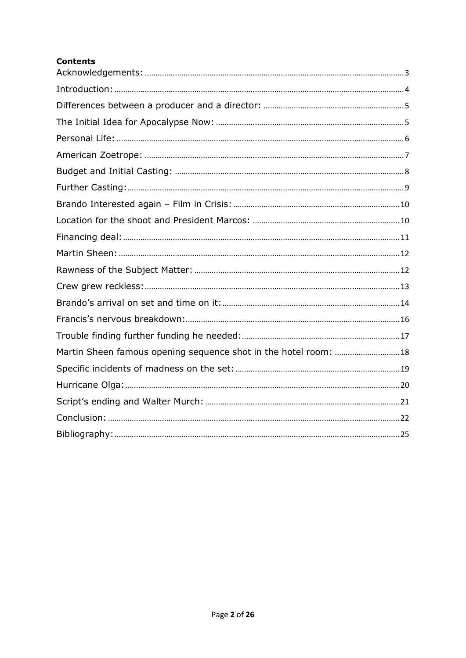# **Contents**

| Martin Sheen famous opening sequence shot in the hotel room:  18 |  |
|------------------------------------------------------------------|--|
|                                                                  |  |
|                                                                  |  |
|                                                                  |  |
|                                                                  |  |
|                                                                  |  |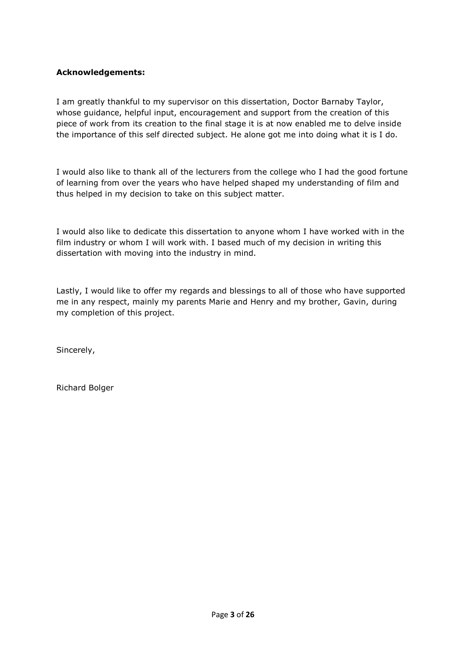## <span id="page-2-0"></span>**Acknowledgements:**

I am greatly thankful to my supervisor on this dissertation, Doctor Barnaby Taylor, whose guidance, helpful input, encouragement and support from the creation of this piece of work from its creation to the final stage it is at now enabled me to delve inside the importance of this self directed subject. He alone got me into doing what it is I do.

I would also like to thank all of the lecturers from the college who I had the good fortune of learning from over the years who have helped shaped my understanding of film and thus helped in my decision to take on this subject matter.

I would also like to dedicate this dissertation to anyone whom I have worked with in the film industry or whom I will work with. I based much of my decision in writing this dissertation with moving into the industry in mind.

Lastly, I would like to offer my regards and blessings to all of those who have supported me in any respect, mainly my parents Marie and Henry and my brother, Gavin, during my completion of this project.

Sincerely,

Richard Bolger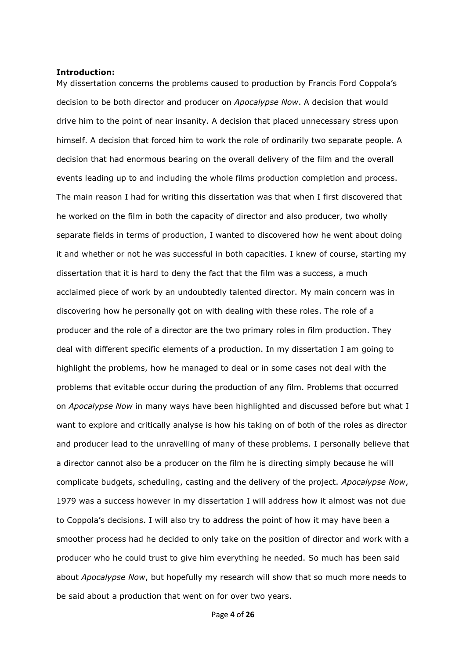#### <span id="page-3-0"></span>**Introduction:**

My dissertation concerns the problems caused to production by Francis Ford Coppola's decision to be both director and producer on *Apocalypse Now*. A decision that would drive him to the point of near insanity. A decision that placed unnecessary stress upon himself. A decision that forced him to work the role of ordinarily two separate people. A decision that had enormous bearing on the overall delivery of the film and the overall events leading up to and including the whole films production completion and process. The main reason I had for writing this dissertation was that when I first discovered that he worked on the film in both the capacity of director and also producer, two wholly separate fields in terms of production, I wanted to discovered how he went about doing it and whether or not he was successful in both capacities. I knew of course, starting my dissertation that it is hard to deny the fact that the film was a success, a much acclaimed piece of work by an undoubtedly talented director. My main concern was in discovering how he personally got on with dealing with these roles. The role of a producer and the role of a director are the two primary roles in film production. They deal with different specific elements of a production. In my dissertation I am going to highlight the problems, how he managed to deal or in some cases not deal with the problems that evitable occur during the production of any film. Problems that occurred on *Apocalypse Now* in many ways have been highlighted and discussed before but what I want to explore and critically analyse is how his taking on of both of the roles as director and producer lead to the unravelling of many of these problems. I personally believe that a director cannot also be a producer on the film he is directing simply because he will complicate budgets, scheduling, casting and the delivery of the project. *Apocalypse Now*, 1979 was a success however in my dissertation I will address how it almost was not due to Coppola's decisions. I will also try to address the point of how it may have been a smoother process had he decided to only take on the position of director and work with a producer who he could trust to give him everything he needed. So much has been said about *Apocalypse Now*, but hopefully my research will show that so much more needs to be said about a production that went on for over two years.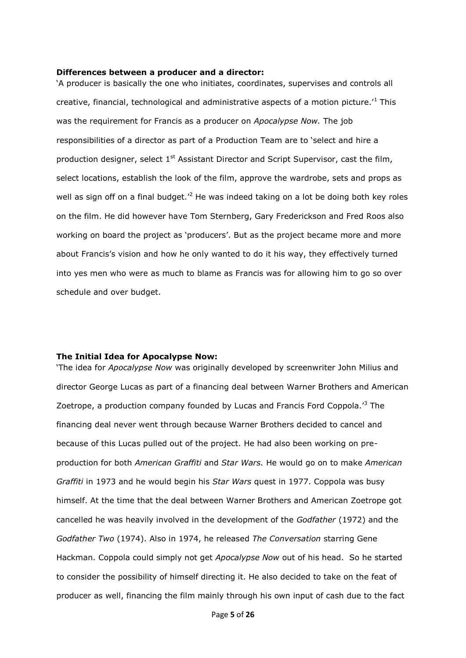#### <span id="page-4-0"></span>**Differences between a producer and a director:**

'A producer is basically the one who initiates, coordinates, supervises and controls all creative, financial, technological and administrative aspects of a motion picture.'<sup>1</sup> This was the requirement for Francis as a producer on *Apocalypse Now.* The job responsibilities of a director as part of a Production Team are to 'select and hire a production designer, select  $1<sup>st</sup>$  Assistant Director and Script Supervisor, cast the film, select locations, establish the look of the film, approve the wardrobe, sets and props as well as sign off on a final budget.<sup> $2$ </sup> He was indeed taking on a lot be doing both key roles on the film. He did however have Tom Sternberg, Gary Frederickson and Fred Roos also working on board the project as 'producers'. But as the project became more and more about Francis's vision and how he only wanted to do it his way, they effectively turned into yes men who were as much to blame as Francis was for allowing him to go so over schedule and over budget.

#### <span id="page-4-1"></span>**The Initial Idea for Apocalypse Now:**

'The idea for *Apocalypse Now* was originally developed by screenwriter John Milius and director George Lucas as part of a financing deal between Warner Brothers and American Zoetrope, a production company founded by Lucas and Francis Ford Coppola.'<sup>3</sup> The financing deal never went through because Warner Brothers decided to cancel and because of this Lucas pulled out of the project. He had also been working on preproduction for both *American Graffiti* and *Star Wars.* He would go on to make *American Graffiti* in 1973 and he would begin his *Star Wars* quest in 1977. Coppola was busy himself. At the time that the deal between Warner Brothers and American Zoetrope got cancelled he was heavily involved in the development of the *Godfather* (1972) and the *Godfather Two* (1974). Also in 1974, he released *The Conversation* starring Gene Hackman. Coppola could simply not get *Apocalypse Now* out of his head. So he started to consider the possibility of himself directing it. He also decided to take on the feat of producer as well, financing the film mainly through his own input of cash due to the fact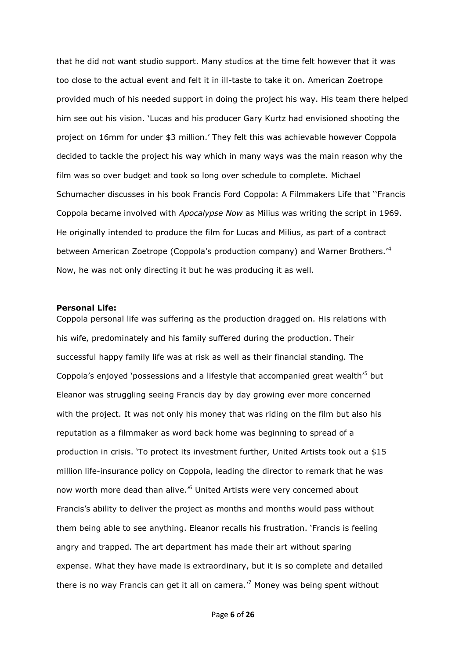that he did not want studio support. Many studios at the time felt however that it was too close to the actual event and felt it in ill-taste to take it on. American Zoetrope provided much of his needed support in doing the project his way. His team there helped him see out his vision. 'Lucas and his producer Gary Kurtz had envisioned shooting the project on 16mm for under \$3 million.' They felt this was achievable however Coppola decided to tackle the project his way which in many ways was the main reason why the film was so over budget and took so long over schedule to complete. Michael Schumacher discusses in his book Francis Ford Coppola: A Filmmakers Life that ''Francis Coppola became involved with *Apocalypse Now* as Milius was writing the script in 1969. He originally intended to produce the film for Lucas and Milius, as part of a contract between American Zoetrope (Coppola's production company) and Warner Brothers.<sup>14</sup> Now, he was not only directing it but he was producing it as well.

#### <span id="page-5-0"></span>**Personal Life:**

Coppola personal life was suffering as the production dragged on. His relations with his wife, predominately and his family suffered during the production. Their successful happy family life was at risk as well as their financial standing. The Coppola's enjoyed 'possessions and a lifestyle that accompanied great wealth'<sup>5</sup> but Eleanor was struggling seeing Francis day by day growing ever more concerned with the project. It was not only his money that was riding on the film but also his reputation as a filmmaker as word back home was beginning to spread of a production in crisis. 'To protect its investment further, United Artists took out a \$15 million life-insurance policy on Coppola, leading the director to remark that he was now worth more dead than alive.<sup>16</sup> United Artists were very concerned about Francis's ability to deliver the project as months and months would pass without them being able to see anything. Eleanor recalls his frustration. 'Francis is feeling angry and trapped. The art department has made their art without sparing expense. What they have made is extraordinary, but it is so complete and detailed there is no way Francis can get it all on camera. $\frac{7}{7}$  Money was being spent without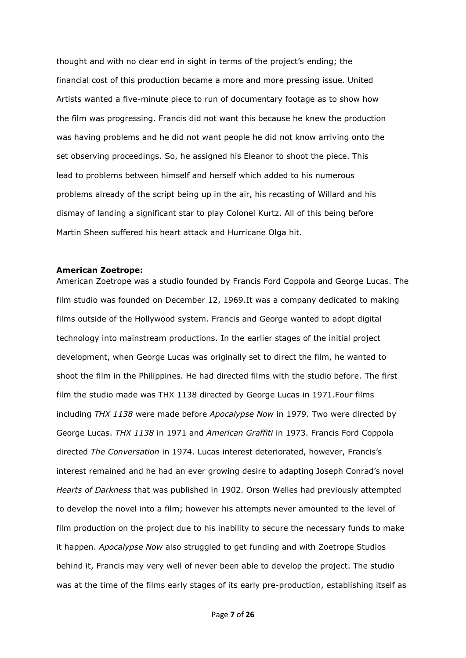thought and with no clear end in sight in terms of the project's ending; the financial cost of this production became a more and more pressing issue. United Artists wanted a five-minute piece to run of documentary footage as to show how the film was progressing. Francis did not want this because he knew the production was having problems and he did not want people he did not know arriving onto the set observing proceedings. So, he assigned his Eleanor to shoot the piece. This lead to problems between himself and herself which added to his numerous problems already of the script being up in the air, his recasting of Willard and his dismay of landing a significant star to play Colonel Kurtz. All of this being before Martin Sheen suffered his heart attack and Hurricane Olga hit.

## <span id="page-6-0"></span>**American Zoetrope:**

American Zoetrope was a studio founded by Francis Ford Coppola and George Lucas. The film studio was founded on December 12, 1969.It was a company dedicated to making films outside of the Hollywood system. Francis and George wanted to adopt digital technology into mainstream productions. In the earlier stages of the initial project development, when George Lucas was originally set to direct the film, he wanted to shoot the film in the Philippines. He had directed films with the studio before. The first film the studio made was THX 1138 directed by George Lucas in 1971.Four films including *THX 1138* were made before *Apocalypse Now* in 1979. Two were directed by George Lucas. *THX 1138* in 1971 and *American Graffiti* in 1973. Francis Ford Coppola directed *The Conversation* in 1974. Lucas interest deteriorated, however, Francis's interest remained and he had an ever growing desire to adapting Joseph Conrad's novel *Hearts of Darkness* that was published in 1902. Orson Welles had previously attempted to develop the novel into a film; however his attempts never amounted to the level of film production on the project due to his inability to secure the necessary funds to make it happen. *Apocalypse Now* also struggled to get funding and with Zoetrope Studios behind it, Francis may very well of never been able to develop the project. The studio was at the time of the films early stages of its early pre-production, establishing itself as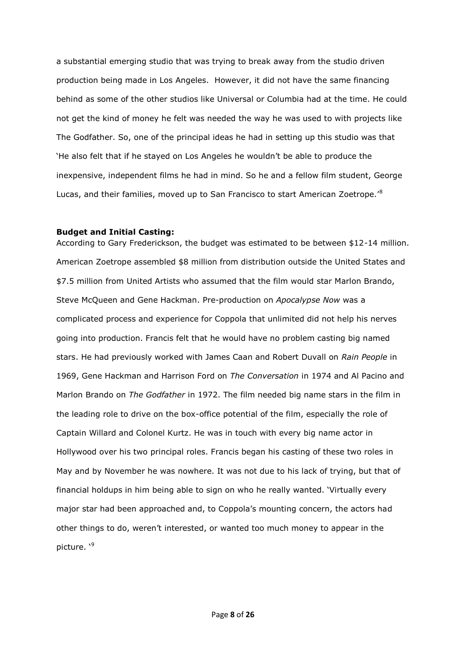a substantial emerging studio that was trying to break away from the studio driven production being made in Los Angeles. However, it did not have the same financing behind as some of the other studios like Universal or Columbia had at the time. He could not get the kind of money he felt was needed the way he was used to with projects like The Godfather. So, one of the principal ideas he had in setting up this studio was that 'He also felt that if he stayed on Los Angeles he wouldn't be able to produce the inexpensive, independent films he had in mind. So he and a fellow film student, George Lucas, and their families, moved up to San Francisco to start American Zoetrope.'<sup>8</sup>

#### <span id="page-7-0"></span>**Budget and Initial Casting:**

According to Gary Frederickson, the budget was estimated to be between \$12-14 million. American Zoetrope assembled \$8 million from distribution outside the United States and \$7.5 million from United Artists who assumed that the film would star Marlon Brando, Steve McQueen and Gene Hackman. Pre-production on *Apocalypse Now* was a complicated process and experience for Coppola that unlimited did not help his nerves going into production. Francis felt that he would have no problem casting big named stars. He had previously worked with James Caan and Robert Duvall on *Rain People* in 1969, Gene Hackman and Harrison Ford on *The Conversation* in 1974 and Al Pacino and Marlon Brando on *The Godfather* in 1972. The film needed big name stars in the film in the leading role to drive on the box-office potential of the film, especially the role of Captain Willard and Colonel Kurtz. He was in touch with every big name actor in Hollywood over his two principal roles. Francis began his casting of these two roles in May and by November he was nowhere. It was not due to his lack of trying, but that of financial holdups in him being able to sign on who he really wanted. 'Virtually every major star had been approached and, to Coppola's mounting concern, the actors had other things to do, weren't interested, or wanted too much money to appear in the picture. '<sup>9</sup>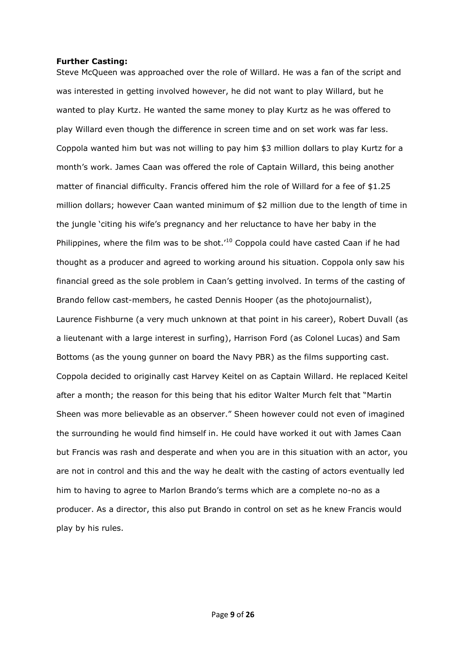## <span id="page-8-0"></span>**Further Casting:**

Steve McQueen was approached over the role of Willard. He was a fan of the script and was interested in getting involved however, he did not want to play Willard, but he wanted to play Kurtz. He wanted the same money to play Kurtz as he was offered to play Willard even though the difference in screen time and on set work was far less. Coppola wanted him but was not willing to pay him \$3 million dollars to play Kurtz for a month's work. James Caan was offered the role of Captain Willard, this being another matter of financial difficulty. Francis offered him the role of Willard for a fee of \$1.25 million dollars; however Caan wanted minimum of \$2 million due to the length of time in the jungle 'citing his wife's pregnancy and her reluctance to have her baby in the Philippines, where the film was to be shot.<sup>'10</sup> Coppola could have casted Caan if he had thought as a producer and agreed to working around his situation. Coppola only saw his financial greed as the sole problem in Caan's getting involved. In terms of the casting of Brando fellow cast-members, he casted Dennis Hooper (as the photojournalist), Laurence Fishburne (a very much unknown at that point in his career), Robert Duvall (as a lieutenant with a large interest in surfing), Harrison Ford (as Colonel Lucas) and Sam Bottoms (as the young gunner on board the Navy PBR) as the films supporting cast. Coppola decided to originally cast Harvey Keitel on as Captain Willard. He replaced Keitel after a month; the reason for this being that his editor Walter Murch felt that "Martin Sheen was more believable as an observer." Sheen however could not even of imagined the surrounding he would find himself in. He could have worked it out with James Caan but Francis was rash and desperate and when you are in this situation with an actor, you are not in control and this and the way he dealt with the casting of actors eventually led him to having to agree to Marlon Brando's terms which are a complete no-no as a producer. As a director, this also put Brando in control on set as he knew Francis would play by his rules.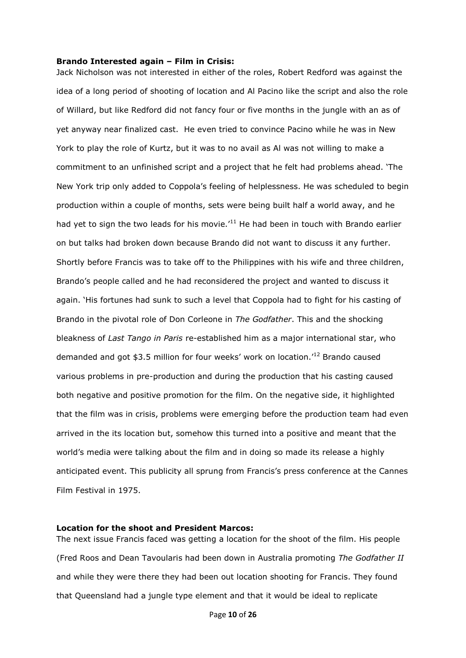#### <span id="page-9-0"></span>**Brando Interested again – Film in Crisis:**

Jack Nicholson was not interested in either of the roles, Robert Redford was against the idea of a long period of shooting of location and Al Pacino like the script and also the role of Willard, but like Redford did not fancy four or five months in the jungle with an as of yet anyway near finalized cast. He even tried to convince Pacino while he was in New York to play the role of Kurtz, but it was to no avail as Al was not willing to make a commitment to an unfinished script and a project that he felt had problems ahead. 'The New York trip only added to Coppola's feeling of helplessness. He was scheduled to begin production within a couple of months, sets were being built half a world away, and he had yet to sign the two leads for his movie.<sup> $11$ </sup> He had been in touch with Brando earlier on but talks had broken down because Brando did not want to discuss it any further. Shortly before Francis was to take off to the Philippines with his wife and three children, Brando's people called and he had reconsidered the project and wanted to discuss it again. 'His fortunes had sunk to such a level that Coppola had to fight for his casting of Brando in the pivotal role of Don Corleone in *The Godfather*. This and the shocking bleakness of *Last Tango in Paris* re-established him as a major international star, who demanded and got \$3.5 million for four weeks' work on location.'<sup>12</sup> Brando caused various problems in pre-production and during the production that his casting caused both negative and positive promotion for the film. On the negative side, it highlighted that the film was in crisis, problems were emerging before the production team had even arrived in the its location but, somehow this turned into a positive and meant that the world's media were talking about the film and in doing so made its release a highly anticipated event. This publicity all sprung from Francis's press conference at the Cannes Film Festival in 1975.

## <span id="page-9-1"></span>**Location for the shoot and President Marcos:**

The next issue Francis faced was getting a location for the shoot of the film. His people (Fred Roos and Dean Tavoularis had been down in Australia promoting *The Godfather II*  and while they were there they had been out location shooting for Francis. They found that Queensland had a jungle type element and that it would be ideal to replicate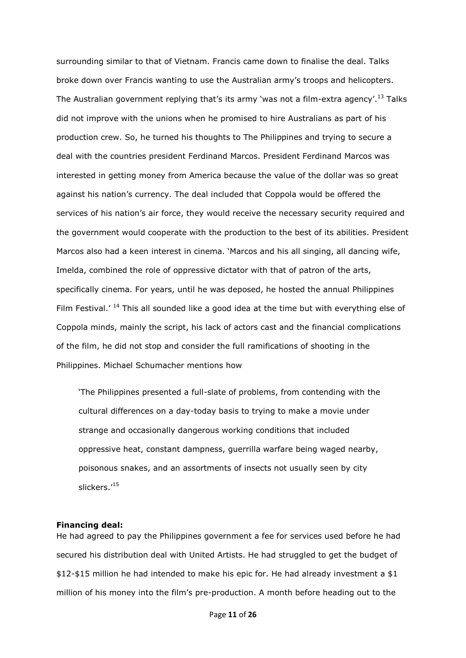surrounding similar to that of Vietnam. Francis came down to finalise the deal. Talks broke down over Francis wanting to use the Australian army's troops and helicopters. The Australian government replying that's its army 'was not a film-extra agency'.<sup>13</sup> Talks did not improve with the unions when he promised to hire Australians as part of his production crew. So, he turned his thoughts to The Philippines and trying to secure a deal with the countries president Ferdinand Marcos. President Ferdinand Marcos was interested in getting money from America because the value of the dollar was so great against his nation's currency. The deal included that Coppola would be offered the services of his nation's air force, they would receive the necessary security required and the government would cooperate with the production to the best of its abilities. President Marcos also had a keen interest in cinema. 'Marcos and his all singing, all dancing wife, Imelda, combined the role of oppressive dictator with that of patron of the arts, specifically cinema. For years, until he was deposed, he hosted the annual Philippines Film Festival.' <sup>14</sup> This all sounded like a good idea at the time but with everything else of Coppola minds, mainly the script, his lack of actors cast and the financial complications of the film, he did not stop and consider the full ramifications of shooting in the Philippines. Michael Schumacher mentions how

'The Philippines presented a full-slate of problems, from contending with the cultural differences on a day-today basis to trying to make a movie under strange and occasionally dangerous working conditions that included oppressive heat, constant dampness, guerrilla warfare being waged nearby, poisonous snakes, and an assortments of insects not usually seen by city slickers.'<sup>15</sup>

#### <span id="page-10-0"></span>**Financing deal:**

He had agreed to pay the Philippines government a fee for services used before he had secured his distribution deal with United Artists. He had struggled to get the budget of \$12-\$15 million he had intended to make his epic for. He had already investment a \$1 million of his money into the film's pre-production. A month before heading out to the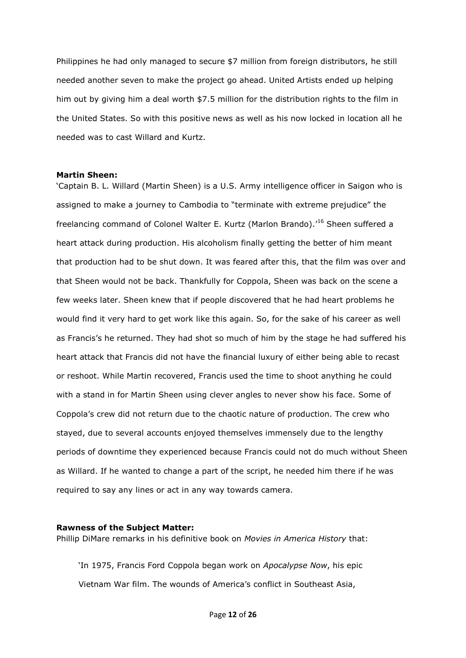Philippines he had only managed to secure \$7 million from foreign distributors, he still needed another seven to make the project go ahead. United Artists ended up helping him out by giving him a deal worth \$7.5 million for the distribution rights to the film in the United States. So with this positive news as well as his now locked in location all he needed was to cast Willard and Kurtz.

#### <span id="page-11-0"></span>**Martin Sheen:**

'Captain B. L. Willard (Martin Sheen) is a U.S. Army intelligence officer in Saigon who is assigned to make a journey to Cambodia to "terminate with extreme prejudice" the freelancing command of Colonel Walter E. Kurtz (Marlon Brando).'<sup>16</sup> Sheen suffered a heart attack during production. His alcoholism finally getting the better of him meant that production had to be shut down. It was feared after this, that the film was over and that Sheen would not be back. Thankfully for Coppola, Sheen was back on the scene a few weeks later. Sheen knew that if people discovered that he had heart problems he would find it very hard to get work like this again. So, for the sake of his career as well as Francis's he returned. They had shot so much of him by the stage he had suffered his heart attack that Francis did not have the financial luxury of either being able to recast or reshoot. While Martin recovered, Francis used the time to shoot anything he could with a stand in for Martin Sheen using clever angles to never show his face. Some of Coppola's crew did not return due to the chaotic nature of production. The crew who stayed, due to several accounts enjoyed themselves immensely due to the lengthy periods of downtime they experienced because Francis could not do much without Sheen as Willard. If he wanted to change a part of the script, he needed him there if he was required to say any lines or act in any way towards camera.

## <span id="page-11-1"></span>**Rawness of the Subject Matter:**

Phillip DiMare remarks in his definitive book on *Movies in America History* that:

'In 1975, Francis Ford Coppola began work on *Apocalypse Now*, his epic Vietnam War film. The wounds of America's conflict in Southeast Asia,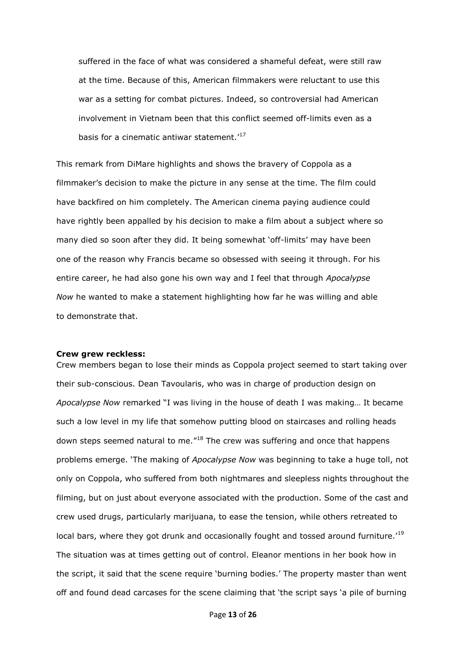suffered in the face of what was considered a shameful defeat, were still raw at the time. Because of this, American filmmakers were reluctant to use this war as a setting for combat pictures. Indeed, so controversial had American involvement in Vietnam been that this conflict seemed off-limits even as a basis for a cinematic antiwar statement.<sup>'17</sup>

This remark from DiMare highlights and shows the bravery of Coppola as a filmmaker's decision to make the picture in any sense at the time. The film could have backfired on him completely. The American cinema paying audience could have rightly been appalled by his decision to make a film about a subject where so many died so soon after they did. It being somewhat 'off-limits' may have been one of the reason why Francis became so obsessed with seeing it through. For his entire career, he had also gone his own way and I feel that through *Apocalypse Now* he wanted to make a statement highlighting how far he was willing and able to demonstrate that.

### <span id="page-12-0"></span>**Crew grew reckless:**

Crew members began to lose their minds as Coppola project seemed to start taking over their sub-conscious. Dean Tavoularis, who was in charge of production design on *Apocalypse Now* remarked "I was living in the house of death I was making… It became such a low level in my life that somehow putting blood on staircases and rolling heads down steps seemed natural to me.<sup>"18</sup> The crew was suffering and once that happens problems emerge. 'The making of *Apocalypse Now* was beginning to take a huge toll, not only on Coppola, who suffered from both nightmares and sleepless nights throughout the filming, but on just about everyone associated with the production. Some of the cast and crew used drugs, particularly marijuana, to ease the tension, while others retreated to local bars, where they got drunk and occasionally fought and tossed around furniture.<sup>'19</sup> The situation was at times getting out of control. Eleanor mentions in her book how in the script, it said that the scene require 'burning bodies.' The property master than went off and found dead carcases for the scene claiming that 'the script says 'a pile of burning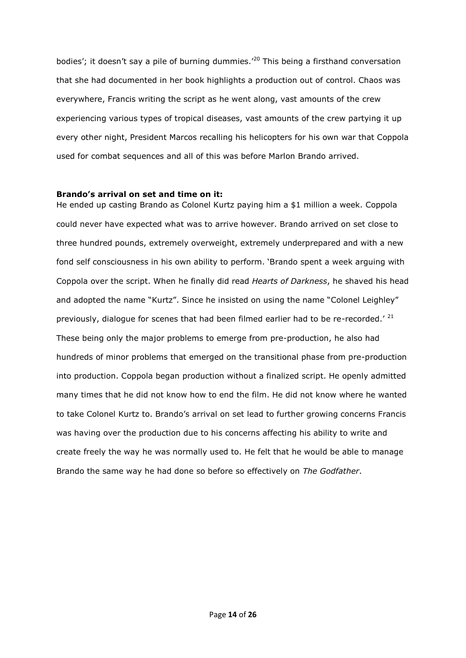bodies'; it doesn't say a pile of burning dummies.<sup>'20</sup> This being a firsthand conversation that she had documented in her book highlights a production out of control. Chaos was everywhere, Francis writing the script as he went along, vast amounts of the crew experiencing various types of tropical diseases, vast amounts of the crew partying it up every other night, President Marcos recalling his helicopters for his own war that Coppola used for combat sequences and all of this was before Marlon Brando arrived.

## <span id="page-13-0"></span>**Brando's arrival on set and time on it:**

He ended up casting Brando as Colonel Kurtz paying him a \$1 million a week. Coppola could never have expected what was to arrive however. Brando arrived on set close to three hundred pounds, extremely overweight, extremely underprepared and with a new fond self consciousness in his own ability to perform. 'Brando spent a week arguing with Coppola over the script. When he finally did read *Hearts of Darkness*, he shaved his head and adopted the name "Kurtz". Since he insisted on using the name "Colonel Leighley" previously, dialogue for scenes that had been filmed earlier had to be re-recorded.'  $^{21}$ These being only the major problems to emerge from pre-production, he also had hundreds of minor problems that emerged on the transitional phase from pre-production into production. Coppola began production without a finalized script. He openly admitted many times that he did not know how to end the film. He did not know where he wanted to take Colonel Kurtz to. Brando's arrival on set lead to further growing concerns Francis was having over the production due to his concerns affecting his ability to write and create freely the way he was normally used to. He felt that he would be able to manage Brando the same way he had done so before so effectively on *The Godfather*.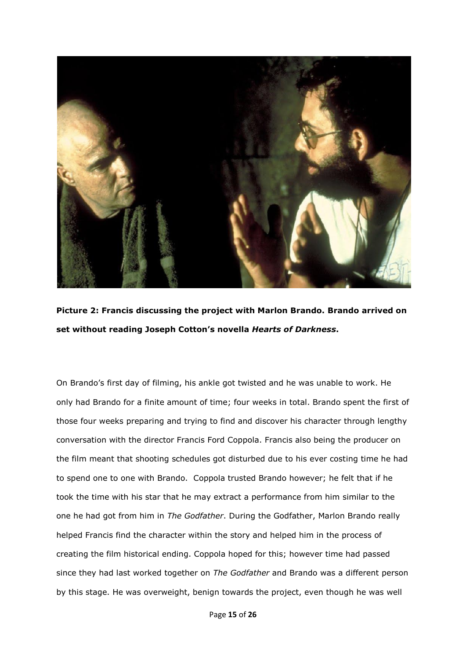

**Picture 2: Francis discussing the project with Marlon Brando. Brando arrived on set without reading Joseph Cotton's novella** *Hearts of Darkness***.**

On Brando's first day of filming, his ankle got twisted and he was unable to work. He only had Brando for a finite amount of time; four weeks in total. Brando spent the first of those four weeks preparing and trying to find and discover his character through lengthy conversation with the director Francis Ford Coppola. Francis also being the producer on the film meant that shooting schedules got disturbed due to his ever costing time he had to spend one to one with Brando. Coppola trusted Brando however; he felt that if he took the time with his star that he may extract a performance from him similar to the one he had got from him in *The Godfather*. During the Godfather, Marlon Brando really helped Francis find the character within the story and helped him in the process of creating the film historical ending. Coppola hoped for this; however time had passed since they had last worked together on *The Godfather* and Brando was a different person by this stage. He was overweight, benign towards the project, even though he was well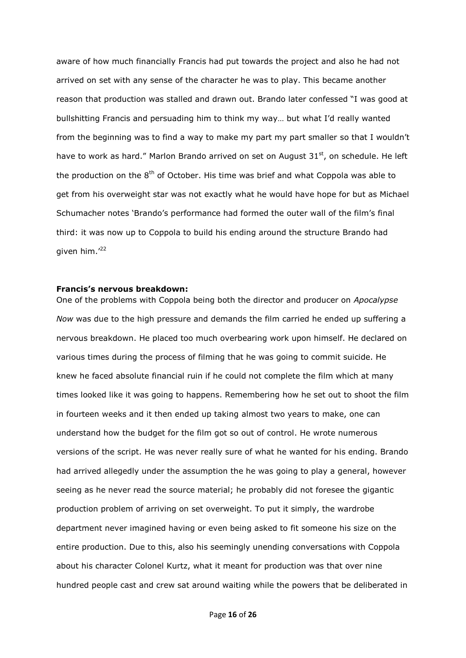aware of how much financially Francis had put towards the project and also he had not arrived on set with any sense of the character he was to play. This became another reason that production was stalled and drawn out. Brando later confessed "I was good at bullshitting Francis and persuading him to think my way… but what I'd really wanted from the beginning was to find a way to make my part my part smaller so that I wouldn't have to work as hard." Marlon Brando arrived on set on August  $31<sup>st</sup>$ , on schedule. He left the production on the  $8<sup>th</sup>$  of October. His time was brief and what Coppola was able to get from his overweight star was not exactly what he would have hope for but as Michael Schumacher notes 'Brando's performance had formed the outer wall of the film's final third: it was now up to Coppola to build his ending around the structure Brando had given him.<sup>'22</sup>

## <span id="page-15-0"></span>**Francis's nervous breakdown:**

One of the problems with Coppola being both the director and producer on *Apocalypse Now* was due to the high pressure and demands the film carried he ended up suffering a nervous breakdown. He placed too much overbearing work upon himself. He declared on various times during the process of filming that he was going to commit suicide. He knew he faced absolute financial ruin if he could not complete the film which at many times looked like it was going to happens. Remembering how he set out to shoot the film in fourteen weeks and it then ended up taking almost two years to make, one can understand how the budget for the film got so out of control. He wrote numerous versions of the script. He was never really sure of what he wanted for his ending. Brando had arrived allegedly under the assumption the he was going to play a general, however seeing as he never read the source material; he probably did not foresee the gigantic production problem of arriving on set overweight. To put it simply, the wardrobe department never imagined having or even being asked to fit someone his size on the entire production. Due to this, also his seemingly unending conversations with Coppola about his character Colonel Kurtz, what it meant for production was that over nine hundred people cast and crew sat around waiting while the powers that be deliberated in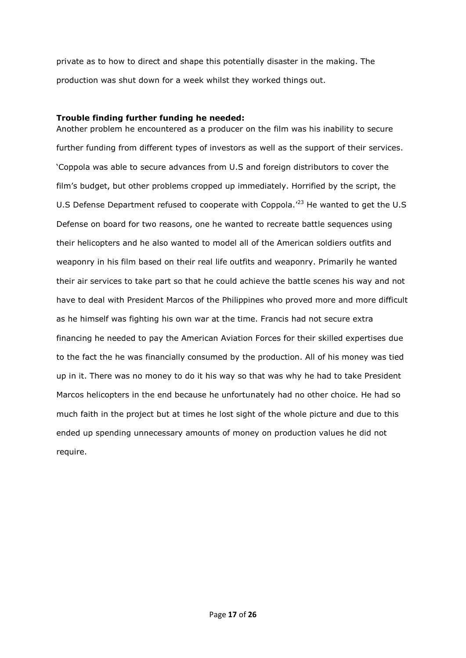private as to how to direct and shape this potentially disaster in the making. The production was shut down for a week whilst they worked things out.

## <span id="page-16-0"></span>**Trouble finding further funding he needed:**

Another problem he encountered as a producer on the film was his inability to secure further funding from different types of investors as well as the support of their services. 'Coppola was able to secure advances from U.S and foreign distributors to cover the film's budget, but other problems cropped up immediately. Horrified by the script, the U.S Defense Department refused to cooperate with Coppola.<sup>'23</sup> He wanted to get the U.S Defense on board for two reasons, one he wanted to recreate battle sequences using their helicopters and he also wanted to model all of the American soldiers outfits and weaponry in his film based on their real life outfits and weaponry. Primarily he wanted their air services to take part so that he could achieve the battle scenes his way and not have to deal with President Marcos of the Philippines who proved more and more difficult as he himself was fighting his own war at the time. Francis had not secure extra financing he needed to pay the American Aviation Forces for their skilled expertises due to the fact the he was financially consumed by the production. All of his money was tied up in it. There was no money to do it his way so that was why he had to take President Marcos helicopters in the end because he unfortunately had no other choice. He had so much faith in the project but at times he lost sight of the whole picture and due to this ended up spending unnecessary amounts of money on production values he did not require.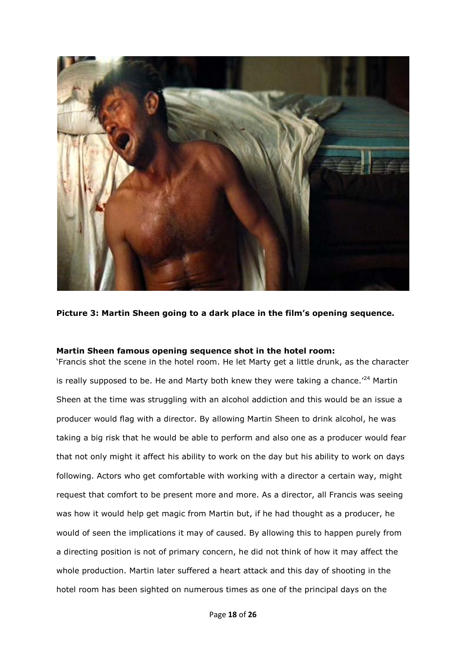

**Picture 3: Martin Sheen going to a dark place in the film's opening sequence.**

## <span id="page-17-0"></span>**Martin Sheen famous opening sequence shot in the hotel room:**

'Francis shot the scene in the hotel room. He let Marty get a little drunk, as the character is really supposed to be. He and Marty both knew they were taking a chance.<sup> $24$ </sup> Martin Sheen at the time was struggling with an alcohol addiction and this would be an issue a producer would flag with a director. By allowing Martin Sheen to drink alcohol, he was taking a big risk that he would be able to perform and also one as a producer would fear that not only might it affect his ability to work on the day but his ability to work on days following. Actors who get comfortable with working with a director a certain way, might request that comfort to be present more and more. As a director, all Francis was seeing was how it would help get magic from Martin but, if he had thought as a producer, he would of seen the implications it may of caused. By allowing this to happen purely from a directing position is not of primary concern, he did not think of how it may affect the whole production. Martin later suffered a heart attack and this day of shooting in the hotel room has been sighted on numerous times as one of the principal days on the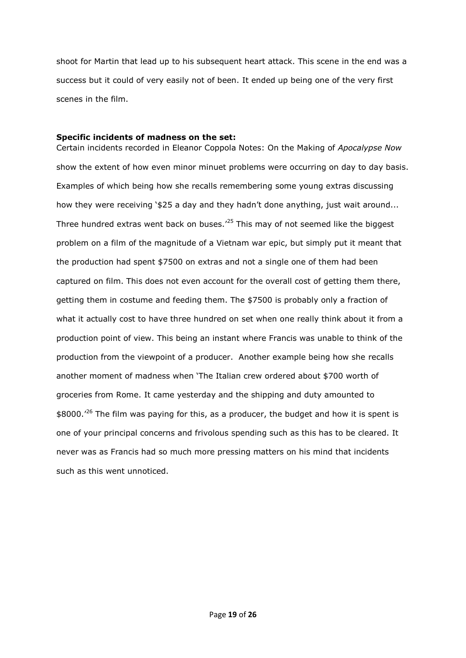shoot for Martin that lead up to his subsequent heart attack. This scene in the end was a success but it could of very easily not of been. It ended up being one of the very first scenes in the film.

## <span id="page-18-0"></span>**Specific incidents of madness on the set:**

Certain incidents recorded in Eleanor Coppola Notes: On the Making of *Apocalypse Now* show the extent of how even minor minuet problems were occurring on day to day basis. Examples of which being how she recalls remembering some young extras discussing how they were receiving '\$25 a day and they hadn't done anything, just wait around... Three hundred extras went back on buses.'<sup>25</sup> This may of not seemed like the biggest problem on a film of the magnitude of a Vietnam war epic, but simply put it meant that the production had spent \$7500 on extras and not a single one of them had been captured on film. This does not even account for the overall cost of getting them there, getting them in costume and feeding them. The \$7500 is probably only a fraction of what it actually cost to have three hundred on set when one really think about it from a production point of view. This being an instant where Francis was unable to think of the production from the viewpoint of a producer. Another example being how she recalls another moment of madness when 'The Italian crew ordered about \$700 worth of groceries from Rome. It came yesterday and the shipping and duty amounted to  $$8000.<sup>26</sup>$  The film was paying for this, as a producer, the budget and how it is spent is one of your principal concerns and frivolous spending such as this has to be cleared. It never was as Francis had so much more pressing matters on his mind that incidents such as this went unnoticed.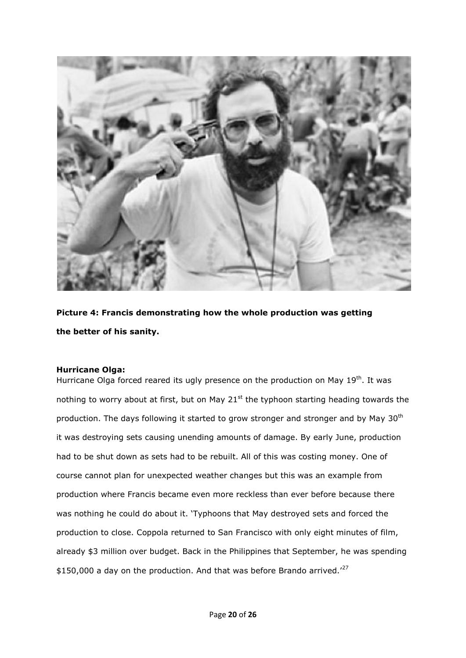

**Picture 4: Francis demonstrating how the whole production was getting the better of his sanity.**

## <span id="page-19-0"></span>**Hurricane Olga:**

Hurricane Olga forced reared its ugly presence on the production on May 19<sup>th</sup>. It was nothing to worry about at first, but on May  $21^{st}$  the typhoon starting heading towards the production. The days following it started to grow stronger and stronger and by May 30<sup>th</sup> it was destroying sets causing unending amounts of damage. By early June, production had to be shut down as sets had to be rebuilt. All of this was costing money. One of course cannot plan for unexpected weather changes but this was an example from production where Francis became even more reckless than ever before because there was nothing he could do about it. 'Typhoons that May destroyed sets and forced the production to close. Coppola returned to San Francisco with only eight minutes of film, already \$3 million over budget. Back in the Philippines that September, he was spending \$150,000 a day on the production. And that was before Brando arrived.<sup>'27</sup>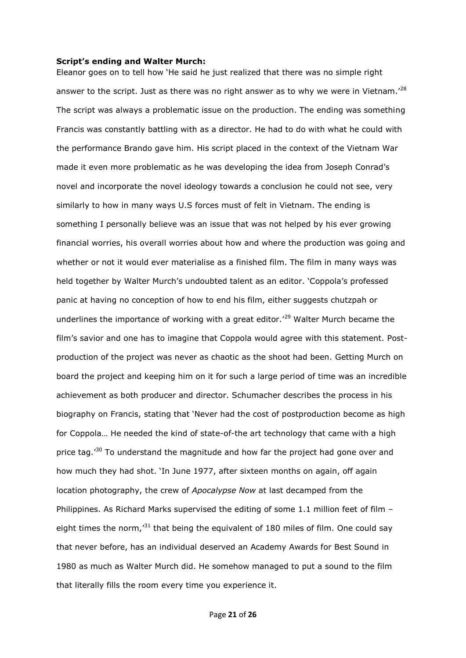#### <span id="page-20-0"></span>**Script's ending and Walter Murch:**

Eleanor goes on to tell how 'He said he just realized that there was no simple right answer to the script. Just as there was no right answer as to why we were in Vietnam.<sup>'28</sup> The script was always a problematic issue on the production. The ending was something Francis was constantly battling with as a director. He had to do with what he could with the performance Brando gave him. His script placed in the context of the Vietnam War made it even more problematic as he was developing the idea from Joseph Conrad's novel and incorporate the novel ideology towards a conclusion he could not see, very similarly to how in many ways U.S forces must of felt in Vietnam. The ending is something I personally believe was an issue that was not helped by his ever growing financial worries, his overall worries about how and where the production was going and whether or not it would ever materialise as a finished film. The film in many ways was held together by Walter Murch's undoubted talent as an editor. 'Coppola's professed panic at having no conception of how to end his film, either suggests chutzpah or underlines the importance of working with a great editor.<sup>'29</sup> Walter Murch became the film's savior and one has to imagine that Coppola would agree with this statement. Postproduction of the project was never as chaotic as the shoot had been. Getting Murch on board the project and keeping him on it for such a large period of time was an incredible achievement as both producer and director. Schumacher describes the process in his biography on Francis, stating that 'Never had the cost of postproduction become as high for Coppola… He needed the kind of state-of-the art technology that came with a high price tag.<sup>30</sup> To understand the magnitude and how far the project had gone over and how much they had shot. 'In June 1977, after sixteen months on again, off again location photography, the crew of *Apocalypse Now* at last decamped from the Philippines. As Richard Marks supervised the editing of some 1.1 million feet of film – eight times the norm,<sup>31</sup> that being the equivalent of 180 miles of film. One could say that never before, has an individual deserved an Academy Awards for Best Sound in 1980 as much as Walter Murch did. He somehow managed to put a sound to the film that literally fills the room every time you experience it.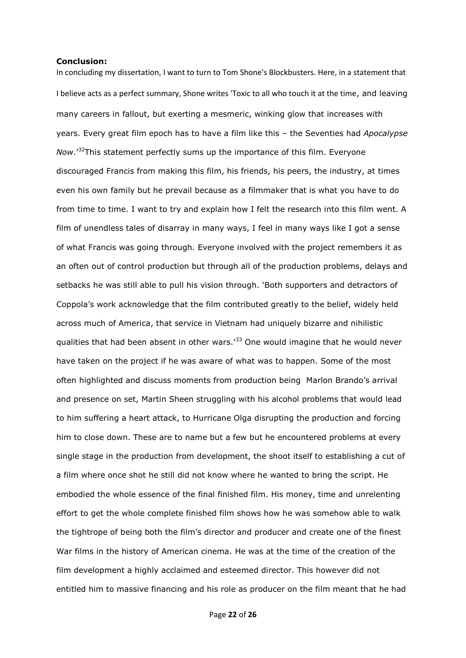#### <span id="page-21-0"></span>**Conclusion:**

In concluding my dissertation, I want to turn to Tom Shone's Blockbusters. Here, in a statement that I believe acts as a perfect summary, Shone writes 'Toxic to all who touch it at the time, and leaving many careers in fallout, but exerting a mesmeric, winking glow that increases with years. Every great film epoch has to have a film like this – the Seventies had *Apocalypse Now*.'<sup>32</sup>This statement perfectly sums up the importance of this film. Everyone discouraged Francis from making this film, his friends, his peers, the industry, at times even his own family but he prevail because as a filmmaker that is what you have to do from time to time. I want to try and explain how I felt the research into this film went. A film of unendless tales of disarray in many ways, I feel in many ways like I got a sense of what Francis was going through. Everyone involved with the project remembers it as an often out of control production but through all of the production problems, delays and setbacks he was still able to pull his vision through. 'Both supporters and detractors of Coppola's work acknowledge that the film contributed greatly to the belief, widely held across much of America, that service in Vietnam had uniquely bizarre and nihilistic qualities that had been absent in other wars.<sup>'33</sup> One would imagine that he would never have taken on the project if he was aware of what was to happen. Some of the most often highlighted and discuss moments from production being Marlon Brando's arrival and presence on set, Martin Sheen struggling with his alcohol problems that would lead to him suffering a heart attack, to Hurricane Olga disrupting the production and forcing him to close down. These are to name but a few but he encountered problems at every single stage in the production from development, the shoot itself to establishing a cut of a film where once shot he still did not know where he wanted to bring the script. He embodied the whole essence of the final finished film. His money, time and unrelenting effort to get the whole complete finished film shows how he was somehow able to walk the tightrope of being both the film's director and producer and create one of the finest War films in the history of American cinema. He was at the time of the creation of the film development a highly acclaimed and esteemed director. This however did not entitled him to massive financing and his role as producer on the film meant that he had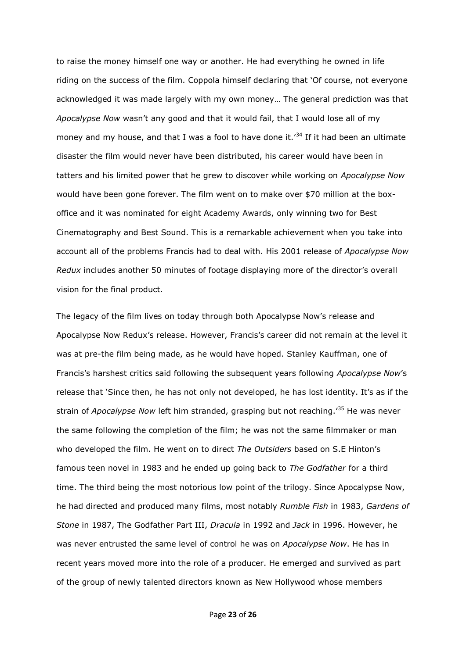to raise the money himself one way or another. He had everything he owned in life riding on the success of the film. Coppola himself declaring that 'Of course, not everyone acknowledged it was made largely with my own money… The general prediction was that *Apocalypse Now* wasn't any good and that it would fail, that I would lose all of my money and my house, and that I was a fool to have done it.<sup>'34</sup> If it had been an ultimate disaster the film would never have been distributed, his career would have been in tatters and his limited power that he grew to discover while working on *Apocalypse Now*  would have been gone forever. The film went on to make over \$70 million at the boxoffice and it was nominated for eight Academy Awards, only winning two for Best Cinematography and Best Sound. This is a remarkable achievement when you take into account all of the problems Francis had to deal with. His 2001 release of *Apocalypse Now Redux* includes another 50 minutes of footage displaying more of the director's overall vision for the final product.

The legacy of the film lives on today through both Apocalypse Now's release and Apocalypse Now Redux's release. However, Francis's career did not remain at the level it was at pre-the film being made, as he would have hoped. Stanley Kauffman, one of Francis's harshest critics said following the subsequent years following *Apocalypse Now*'s release that 'Since then, he has not only not developed, he has lost identity. It's as if the strain of *Apocalypse Now* left him stranded, grasping but not reaching.<sup>35</sup> He was never the same following the completion of the film; he was not the same filmmaker or man who developed the film. He went on to direct *The Outsiders* based on S.E Hinton's famous teen novel in 1983 and he ended up going back to *The Godfather* for a third time. The third being the most notorious low point of the trilogy. Since Apocalypse Now, he had directed and produced many films, most notably *Rumble Fish* in 1983, *Gardens of Stone* in 1987, The Godfather Part III, *Dracula* in 1992 and *Jack* in 1996. However, he was never entrusted the same level of control he was on *Apocalypse Now*. He has in recent years moved more into the role of a producer. He emerged and survived as part of the group of newly talented directors known as New Hollywood whose members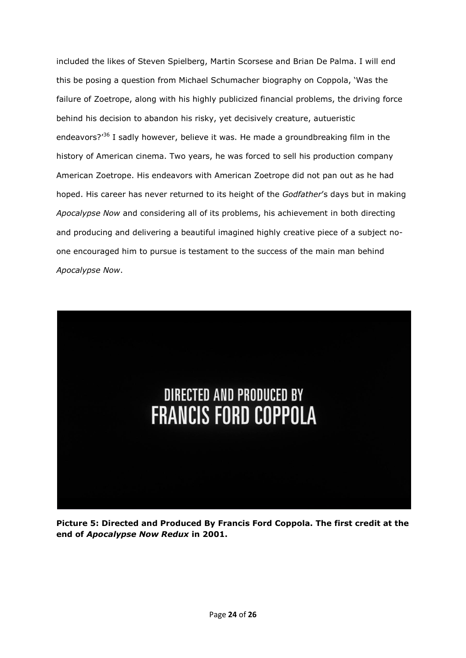included the likes of Steven Spielberg, Martin Scorsese and Brian De Palma. I will end this be posing a question from Michael Schumacher biography on Coppola, 'Was the failure of Zoetrope, along with his highly publicized financial problems, the driving force behind his decision to abandon his risky, yet decisively creature, autueristic endeavors?'<sup>36</sup> I sadly however, believe it was. He made a groundbreaking film in the history of American cinema. Two years, he was forced to sell his production company American Zoetrope. His endeavors with American Zoetrope did not pan out as he had hoped. His career has never returned to its height of the *Godfather*'s days but in making *Apocalypse Now* and considering all of its problems, his achievement in both directing and producing and delivering a beautiful imagined highly creative piece of a subject noone encouraged him to pursue is testament to the success of the main man behind *Apocalypse Now*.



**Picture 5: Directed and Produced By Francis Ford Coppola. The first credit at the end of** *Apocalypse Now Redux* **in 2001.**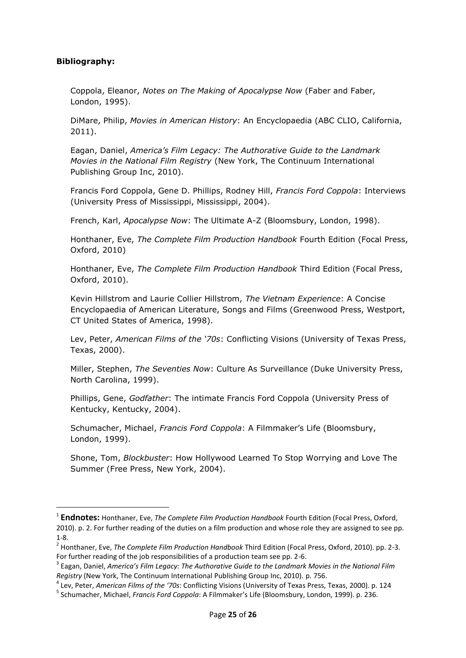## <span id="page-24-0"></span>**Bibliography:**

**.** 

Coppola, Eleanor, *Notes on The Making of Apocalypse Now* (Faber and Faber, London, 1995).

DiMare, Philip, *Movies in American History*: An Encyclopaedia (ABC CLIO, California, 2011).

Eagan, Daniel, *America's Film Legacy: The Authorative Guide to the Landmark Movies in the National Film Registry* (New York, The Continuum International Publishing Group Inc, 2010).

Francis Ford Coppola, Gene D. Phillips, Rodney Hill, *Francis Ford Coppola*: Interviews (University Press of Mississippi, Mississippi, 2004).

French, Karl, *Apocalypse Now*: The Ultimate A-Z (Bloomsbury, London, 1998).

Honthaner, Eve, *The Complete Film Production Handbook* Fourth Edition (Focal Press, Oxford, 2010)

Honthaner, Eve, *The Complete Film Production Handbook* Third Edition (Focal Press, Oxford, 2010).

Kevin Hillstrom and Laurie Collier Hillstrom, *The Vietnam Experience*: A Concise Encyclopaedia of American Literature, Songs and Films (Greenwood Press, Westport, CT United States of America, 1998).

Lev, Peter, *American Films of the '70s*: Conflicting Visions (University of Texas Press, Texas, 2000).

Miller, Stephen, *The Seventies Now*: Culture As Surveillance (Duke University Press, North Carolina, 1999).

Phillips, Gene, *Godfather*: The intimate Francis Ford Coppola (University Press of Kentucky, Kentucky, 2004).

Schumacher, Michael, *Francis Ford Coppola*: A Filmmaker's Life (Bloomsbury, London, 1999).

Shone, Tom, *Blockbuster*: How Hollywood Learned To Stop Worrying and Love The Summer (Free Press, New York, 2004).

<sup>1</sup> **Endnotes:** Honthaner, Eve, *The Complete Film Production Handbook* Fourth Edition (Focal Press, Oxford, 2010). p. 2. For further reading of the duties on a film production and whose role they are assigned to see pp. 1-8.

<sup>2</sup> Honthaner, Eve, *The Complete Film Production Handbook* Third Edition (Focal Press, Oxford, 2010). pp. 2-3. For further reading of the job responsibilities of a production team see pp. 2-6.

<sup>3</sup> Eagan, Daniel, *America's Film Legacy: The Authorative Guide to the Landmark Movies in the National Film Registry* (New York, The Continuum International Publishing Group Inc, 2010). p. 756.

<sup>4</sup> Lev, Peter, *American Films of the '70s*: Conflicting Visions (University of Texas Press, Texas, 2000). p. 124

<sup>5</sup> Schumacher, Michael, *Francis Ford Coppola*: A Filmmaker's Life (Bloomsbury, London, 1999). p. 236.